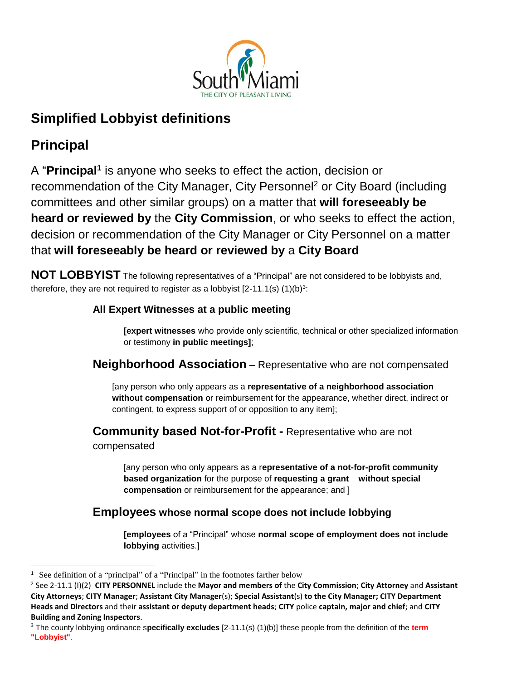

# **Simplified Lobbyist definitions**

# **Principal**

A "**Principal<sup>1</sup>** is anyone who seeks to effect the action, decision or recommendation of the City Manager, City Personnel<sup>2</sup> or City Board (including committees and other similar groups) on a matter that **will foreseeably be heard or reviewed by** the **City Commission**, or who seeks to effect the action, decision or recommendation of the City Manager or City Personnel on a matter that **will foreseeably be heard or reviewed by** a **City Board**

**NOT LOBBYIST** The following representatives of a "Principal" are not considered to be lobbyists and, therefore, they are not required to register as a lobbyist  $[2-11.1(s) (1)(b)<sup>3</sup>$ :

# **All Expert Witnesses at a public meeting**

**[expert witnesses** who provide only scientific, technical or other specialized information or testimony **in public meetings]**;

# **Neighborhood Association** – Representative who are not compensated

[any person who only appears as a **representative of a neighborhood association without compensation** or reimbursement for the appearance, whether direct, indirect or contingent, to express support of or opposition to any item];

**Community based Not-for-Profit -** Representative who are not compensated

[any person who only appears as a r**epresentative of a not-for-profit community based organization** for the purpose of **requesting a grant without special compensation** or reimbursement for the appearance; and ]

# **Employees whose normal scope does not include lobbying**

**[employees** of a "Principal" whose **normal scope of employment does not include lobbying** activities.]

 $\overline{\phantom{a}}$ <sup>1</sup> See definition of a "principal" of a "Principal" in the footnotes farther below

<sup>2</sup> See 2-11.1 (I)(2) **CITY PERSONNEL** include the **Mayor and members of** the **City Commission**; **City Attorney** and **Assistant City Attorneys**; **CITY Manager**; **Assistant City Manager**(s); **Special Assistant**(s) **to the City Manager; CITY Department Heads and Directors** and their **assistant or deputy department heads**; **CITY** police **captain, major and chief**; and **CITY Building and Zoning Inspectors**.

<sup>3</sup> The county lobbying ordinance s**pecifically excludes** [2-11.1(s) (1)(b)] these people from the definition of the **term "Lobbyist"**.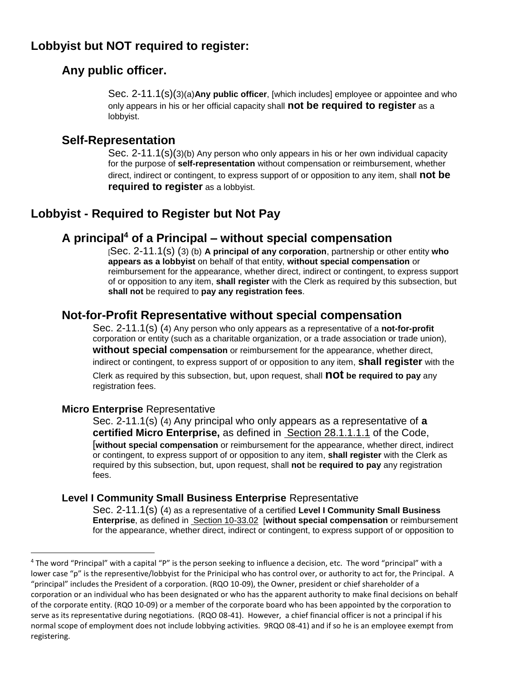# **Lobbyist but NOT required to register:**

# **Any public officer.**

Sec. 2-11.1(s)(3)(a)**Any public officer**, [which includes] employee or appointee and who only appears in his or her official capacity shall **not be required to register** as a lobbyist.

### **Self-Representation**

Sec. 2-11.1(s)(3)(b) Any person who only appears in his or her own individual capacity for the purpose of **self-representation** without compensation or reimbursement, whether direct, indirect or contingent, to express support of or opposition to any item, shall **not be required to register** as a lobbyist.

# **Lobbyist - Required to Register but Not Pay**

# **A principal<sup>4</sup> of a Principal – without special compensation**

[Sec. 2-11.1(s) (3) (b) **A principal of any corporation**, partnership or other entity **who appears as a lobbyist** on behalf of that entity, **without special compensation** or reimbursement for the appearance, whether direct, indirect or contingent, to express support of or opposition to any item, **shall register** with the Clerk as required by this subsection, but **shall not** be required to **pay any registration fees**.

# **Not-for-Profit Representative without special compensation**

Sec. 2-11.1(s) (4) Any person who only appears as a representative of a **not-for-profit** corporation or entity (such as a charitable organization, or a trade association or trade union), **without special compensation** or reimbursement for the appearance, whether direct, indirect or contingent, to express support of or opposition to any item, **shall register** with the Clerk as required by this subsection, but, upon request, shall **not be required to pay** any registration fees.

#### **Micro Enterprise** Representative

 $\overline{a}$ 

Sec. 2-11.1(s) (4) Any principal who only appears as a representative of **a certified Micro Enterprise,** as defined in **Section 28.1.1.1.1** of the Code, [**without special compensation** or reimbursement for the appearance, whether direct, indirect or contingent, to express support of or opposition to any item, **shall register** with the Clerk as required by this subsection, but, upon request, shall **not** be **required to pay** any registration fees.

#### **Level I Community Small Business Enterprise** Representative

Sec. 2-11.1(s) (4) as a representative of a certified **Level I Community Small Business Enterprise**, as defined in Section 10-33.02 [**without special compensation** or reimbursement for the appearance, whether direct, indirect or contingent, to express support of or opposition to

<sup>4</sup> The word "Principal" with a capital "P" is the person seeking to influence a decision, etc. The word "principal" with a lower case "p" is the representive/lobbyist for the Prinicipal who has control over, or authority to act for, the Principal. A "principal" includes the President of a corporation. (RQO 10-09), the Owner, president or chief shareholder of a corporation or an individual who has been designated or who has the apparent authority to make final decisions on behalf of the corporate entity. (RQO 10-09) or a member of the corporate board who has been appointed by the corporation to serve as its representative during negotiations. (RQO 08-41). However, a chief financial officer is not a principal if his normal scope of employment does not include lobbying activities. 9RQO 08-41) and if so he is an employee exempt from registering.